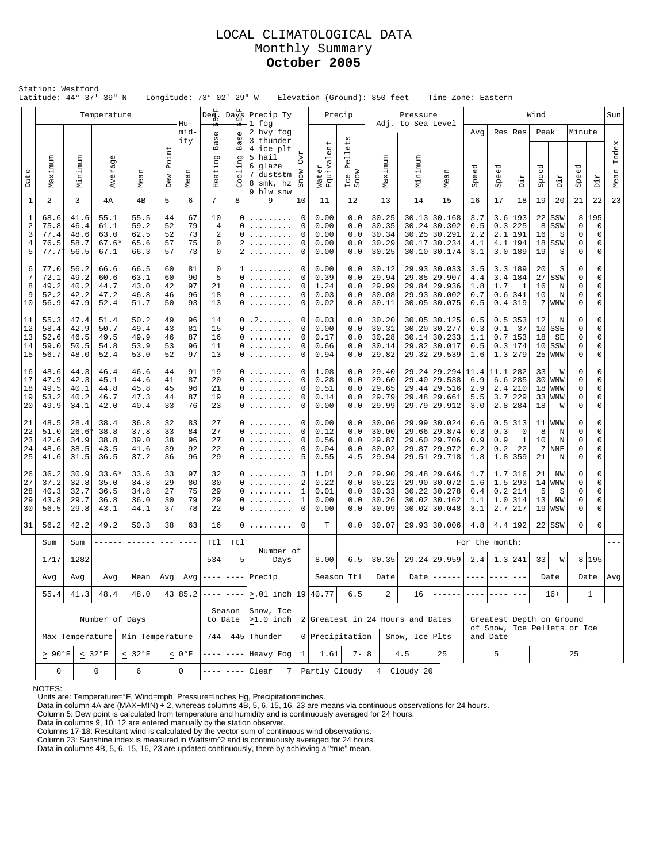## LOCAL CLIMATOLOGICAL DATA Monthly Summary **October 2005**

|                                                        | Station: Westford<br>Latitude: 44° 37' 39" N                        |                                      |                                         |                                                                    |                            |                            | Longitude: 73° 02' 29" W                                                                                                             |                                                   |                                                           |                                                                                             | Elevation (Ground): 850 feet         |                                 |                                           |                         |          | Time Zone: Eastern                                                             |                                  |                                         |                                                          |                                   |                                                  |                       |                                      |       |
|--------------------------------------------------------|---------------------------------------------------------------------|--------------------------------------|-----------------------------------------|--------------------------------------------------------------------|----------------------------|----------------------------|--------------------------------------------------------------------------------------------------------------------------------------|---------------------------------------------------|-----------------------------------------------------------|---------------------------------------------------------------------------------------------|--------------------------------------|---------------------------------|-------------------------------------------|-------------------------|----------|--------------------------------------------------------------------------------|----------------------------------|-----------------------------------------|----------------------------------------------------------|-----------------------------------|--------------------------------------------------|-----------------------|--------------------------------------|-------|
|                                                        |                                                                     |                                      | Temperature                             |                                                                    |                            |                            | Deg.                                                                                                                                 | $Da_{10}^{\text{F1}}$                             | Precip Ty<br>1 fog                                        |                                                                                             |                                      | Precip                          |                                           | Adj. to Sea Level       | Pressure |                                                                                |                                  |                                         |                                                          | Wind                              |                                                  |                       |                                      | Sun   |
|                                                        |                                                                     |                                      | <sub>(1)</sub><br>erag                  |                                                                    | Point                      | Hu-<br>mid-<br>ity         | ь<br>$\mathbb U$<br>Bas                                                                                                              | 6<br>Ф<br>w<br>Щ<br>ת<br>olin                     | 2 hvy fog<br>3 thunder<br>4 ice plt<br>5 hail<br>6 glaze  | CVI                                                                                         | $_{\rm ent}$                         | ets<br>Pell                     |                                           |                         |          |                                                                                | Avq                              |                                         | $Res$ Res                                                | Peak                              |                                                  | Minute                |                                      | Index |
| Date                                                   | Maximum                                                             | Minimum                              | Av                                      | Mean                                                               | Dew                        | Mean                       | Heating                                                                                                                              |                                                   | 7 duststm<br>8 smk, hz<br>9 blw snw                       | Snow                                                                                        | Water<br>Equivale                    | Ice<br>Snow                     | Maximum                                   |                         | Minimum  | Mean                                                                           | Speed                            | eed<br>Ğ                                | Dir                                                      | Speed                             | я<br>Ĕ                                           | Speed                 | Ή<br>Ъİ                              | Mean  |
| $\mathbf{1}$                                           | 2                                                                   | 3                                    | 4А                                      | 4B                                                                 | 5                          | 6                          | 7                                                                                                                                    | 8                                                 | 9                                                         | 10                                                                                          | 11                                   | 12                              | 13                                        |                         | 14       | 15                                                                             | 16                               | 17                                      | 18                                                       | 19                                | 20                                               | 21                    | 22                                   | 23    |
| $\mathbf{1}$<br>$\sqrt{2}$<br>3<br>$\overline{4}$<br>5 | 68.6<br>75.8<br>77.4<br>76.5<br>77.7 <sup>1</sup>                   | 41.6<br>46.4<br>48.6<br>58.7<br>56.5 | 55.1<br>61.1<br>63.0<br>$67.6*$<br>67.1 | 55.5<br>59.2<br>62.5<br>65.6<br>66.3                               | 44<br>52<br>52<br>57<br>57 | 67<br>79<br>73<br>75<br>73 | 10<br>$\overline{4}$<br>$\sqrt{2}$<br>$\mathbf 0$<br>$\mathbf 0$                                                                     | 0<br>0<br>$\Omega$<br>2<br>$\mathfrak{D}$         | .<br>.                                                    | $\mathbf 0$<br>$\mathbf 0$<br>0<br>0<br>$\mathbf 0$                                         | 0.00<br>0.00<br>0.00<br>0.00<br>0.00 | 0.0<br>0.0<br>0.0<br>0.0<br>0.0 | 30.25<br>30.35<br>30.34<br>30.29<br>30.25 |                         |          | 30.13 30.168<br>$30.24$ 30.302<br>30.25 30.291<br>30.17 30.234<br>30.10 30.174 | 3.7<br>0.5<br>2.2<br>4.1<br>3.1  | 3.6<br>0.3<br>2.1<br>4.1<br>3.0         | 193<br>225<br>191<br>194<br> 189                         | 22<br>8<br>16<br>18<br>19         | SSW<br>SSW<br>S<br>SSW<br>S                      | 8<br>0<br>0<br>0<br>0 | 195<br>$\overline{0}$<br>0<br>0<br>0 |       |
| 6<br>7<br>8<br>9<br>10                                 | 77.0<br>72.1<br>49.2<br>52.2<br>56.9                                | 56.2<br>49.2<br>40.2<br>42.2<br>47.9 | 66.6<br>60.6<br>44.7<br>47.2<br>52.4    | 66.5<br>63.1<br>43.0<br>46.8<br>51.7                               | 60<br>60<br>42<br>46<br>50 | 81<br>90<br>97<br>96<br>93 | 0<br>5<br>21<br>18<br>13                                                                                                             | 1<br>$\Omega$<br>$\Omega$<br>$\Omega$<br>$\Omega$ | .<br>.<br>.                                               | 0<br>0.00<br>$\mathbf 0$<br>0.39<br>$\mathbf 0$<br>1.24<br>0<br>0.03<br>$\mathbf 0$<br>0.02 |                                      | 0.0<br>0.0<br>0.0<br>0.0<br>0.0 | 30.12<br>29.94<br>29.99<br>30.08<br>30.11 |                         |          | 29.93 30.033<br>29.85 29.907<br>29.84 29.936<br>29.93 30.002<br>30.05 30.075   | 3.5<br>4.4<br>1.8<br>0.7<br>0.5  | 3.3<br>3.4<br>1.7                       | 189<br>184<br>$\mathbf{1}$<br>$0.6$   341<br>$0.4$   319 | 20<br>27<br>16<br>10              | S<br>SSW<br>N<br>N<br>$7$   WNW                  | 0<br>0<br>0<br>0<br>0 | 0<br>0<br>0<br>0<br>0                |       |
| 11<br>12<br>13<br>14<br>15                             | 55.3<br>58.4<br>52.6<br>59.0<br>56.7                                | 47.4<br>42.9<br>46.5<br>50.5<br>48.0 | 51.4<br>50.7<br>49.5<br>54.8<br>52.4    | 50.2<br>49.4<br>49.9<br>53.9<br>53.0                               | 49<br>43<br>46<br>53<br>52 | 96<br>81<br>87<br>96<br>97 | 14<br>15<br>16<br>11<br>13                                                                                                           | $\Omega$<br>0<br>$\Omega$<br>$\Omega$<br>$\Omega$ | . 2<br>.<br>.                                             | 0<br>$\mathbf 0$<br>$\mathbf 0$<br>$\mathbf 0$<br>$\mathbf 0$                               |                                      | 0.0<br>0.0<br>0.0<br>0.0<br>0.0 | 30.20<br>30.31<br>30.28<br>30.14<br>29.82 |                         |          | 30.05 30.125<br>30.20 30.277<br>30.14 30.233<br>29.82 30.017<br>29.32 29.539   | 0.5<br>0.3<br>1.1<br>0.5<br>1.6  | 0.5<br>0.1<br>0.7<br>0.3<br>1.3         | 353<br>37<br>153<br>174<br>279                           | 12<br>10<br>18<br>10<br>25        | N<br>SSE<br>SE<br>SSW<br><b>WNW</b>              | 0<br>0<br>0<br>0<br>0 | 0<br>0<br>0<br>0<br>0                |       |
| 16<br>17<br>18<br>19<br>20                             | 48.6<br>47.9<br>49.5<br>53.2<br>49.9                                | 44.3<br>42.3<br>40.1<br>40.2<br>34.1 | 46.4<br>45.1<br>44.8<br>46.7<br>42.0    | 46.6<br>44.6<br>45.8<br>47.3<br>40.4                               | 44<br>41<br>45<br>44<br>33 | 91<br>87<br>96<br>87<br>76 | 19<br>20<br>21<br>19<br>23                                                                                                           | $\Omega$<br>$\Omega$<br>$\Omega$<br>0<br>$\Omega$ | .<br>.<br>.<br>.                                          | 0<br>0<br>$\mathbf 0$<br>0<br>$\mathbf 0$                                                   |                                      | 0.0<br>0.0<br>0.0<br>0.0<br>0.0 | 29.40<br>29.60<br>29.65<br>29.79<br>29.99 |                         |          | 29.24 29.294<br>29.40 29.538<br>29.44 29.516<br>29.48 29.661<br>29.79 29.912   | 11.4<br>6.9<br>2.9<br>5.5<br>3.0 | 11.1<br>6.6<br>2.4<br>3.7<br>2.8        | 282<br>285<br>210<br>229<br>284                          | 33<br>30<br>18<br>33<br>18        | W<br><b>WNW</b><br><b>WNW</b><br><b>WNW</b><br>W | 0<br>0<br>0<br>0<br>0 | 0<br>0<br>$\Omega$<br>0<br>0         |       |
| 21<br>22<br>23<br>24<br>25                             | 48.5<br>51.0<br>42.6<br>48.6<br>41.6                                | 28.4<br>26.6<br>34.9<br>38.5<br>31.5 | 38.4<br>38.8<br>38.8<br>43.5<br>36.5    | 36.8<br>37.8<br>39.0<br>41.6<br>37.2                               | 32<br>33<br>38<br>39<br>36 | 83<br>84<br>96<br>92<br>96 | 27<br>27<br>27<br>22<br>29                                                                                                           | $\Omega$<br>$\Omega$<br>0<br>0<br>$\Omega$        | .<br>.<br>.<br>.                                          | $\mathbf 0$<br>$\mathbf 0$<br>$\mathbf 0$<br>0<br>5                                         | 0.00<br>0.12<br>0.56<br>0.04<br>0.55 | 0.0<br>0.0<br>0.0<br>0.0<br>4.5 | 30.06<br>30.00<br>29.87<br>30.02<br>29.94 |                         |          | 29.99 30.024<br>29.66 29.874<br>29.60 29.706<br>29.87 29.972<br>29.51 29.718   | 0.6<br>0.3<br>0.9<br>0.2<br>1.8  | 0.5<br>0.3<br>0.9<br>0.2<br>1.8         | 313<br>0<br>$\mathbf{1}$<br>22<br>359                    | 11<br>8<br>10<br>7<br>21          | <b>WNW</b><br>N<br>N<br><b>NNE</b><br>$\rm N$    | 0<br>0<br>0<br>0<br>0 | $\mathbf 0$<br>0<br>0<br>0<br>0      |       |
| 26<br>27<br>28<br>29<br>30                             | 36.2<br>37.2<br>40.3<br>43.8<br>56.5                                | 30.9<br>32.8<br>32.7<br>29.7<br>29.8 | $33.6*$<br>35.0<br>36.5<br>36.8<br>43.1 | 33.6<br>33<br>29<br>34.8<br>27<br>34.8<br>30<br>36.0<br>44.1<br>37 |                            | 97<br>80<br>75<br>79<br>78 | 32<br>30<br>29<br>29<br>22                                                                                                           | $\Omega$<br>$\Omega$<br>$\Omega$<br>$\Omega$<br>0 | .<br>.<br>.<br>.                                          | 3<br>$\sqrt{2}$<br>$\mathbf{1}$<br>$\mathbf{1}$<br>$\mathbf 0$                              | 1.01<br>0.22<br>0.01<br>0.00<br>0.00 | 2.0<br>0.0<br>0.0<br>0.0<br>0.0 | 29.90<br>30.22<br>30.33<br>30.26<br>30.09 |                         |          | 29.48 29.646<br>29.90 30.072<br>30.22 30.278<br>30.02 30.162<br>30.02 30.048   | 1.7<br>1.6<br>0.4<br>1.1<br>3.1  | 1.5<br>0.2<br>1.0<br>2.7                | $1.7$   316<br>293<br>214<br>314<br> 217                 | 21<br>5<br>13<br>19               | ΝW<br>$14$ WNW<br>S<br>NW<br>WSW                 | 0<br>0<br>0<br>0<br>0 | 0<br>0<br>0<br>0<br>0                |       |
| 31                                                     | 56.2                                                                | 42.2                                 | 49.2                                    | 50.3                                                               | 38                         | 63                         | 16                                                                                                                                   | 0                                                 | .                                                         | $\mathbf 0$                                                                                 | T                                    | 0.0                             | 30.07                                     |                         |          | 29.93 30.006                                                                   | 4.8                              |                                         | 4.4 192                                                  |                                   | $22$ SSW                                         | 0                     | $\Omega$                             |       |
|                                                        | Sum                                                                 | Sum                                  | ------                                  | ------                                                             | $- - -$                    |                            | Ttl                                                                                                                                  | Tt1                                               | Number of                                                 |                                                                                             |                                      |                                 |                                           |                         |          |                                                                                |                                  | For the month:                          |                                                          |                                   |                                                  |                       |                                      |       |
|                                                        | 1717                                                                |                                      | 1282<br>534                             |                                                                    | 5                          | Days                       |                                                                                                                                      | 8.00                                              | 6.5                                                       | 30.35                                                                                       |                                      |                                 | 29.24 29.959                              | 2.4                     | 1.3 241  |                                                                                | 33                               | M                                       |                                                          | 8 195                             |                                                  |                       |                                      |       |
|                                                        | Avg                                                                 | Avg<br>Avg<br>Mean<br>  Avg          |                                         |                                                                    | $43 85.2 ---$              | $- - - - -$                | $Avg \left  \frac{\text{---}}{\text{---}} \right  \left. \frac{\text{---}}{\text{---}} \right $ Precip<br>$\vert$ >.01 inch 19 40.77 |                                                   |                                                           | Season Ttl<br>6.5                                                                           | Date<br>$\overline{a}$               |                                 | 16                                        | Date $ -----$<br>------ |          | $- - - - -$                                                                    | $- - -$                          |                                         | Date                                                     |                                   | Date<br>$\mathbf{1}$                             | Avg                   |                                      |       |
|                                                        | 41.3<br>48.4<br>48.0<br>55.4<br>Number of Days                      |                                      |                                         |                                                                    |                            |                            |                                                                                                                                      | Season<br>to Date                                 | Snow, Ice<br>$>1.0$ inch 2 Greatest in 24 Hours and Dates |                                                                                             |                                      |                                 |                                           |                         |          |                                                                                | $- - - -$                        |                                         |                                                          | $16+$<br>Greatest Depth on Ground |                                                  |                       |                                      |       |
|                                                        | Max Temperature<br>Min Temperature                                  |                                      |                                         |                                                                    |                            |                            | 744                                                                                                                                  |                                                   | 445 Thunder                                               |                                                                                             | 0 Precipitation                      |                                 |                                           | Snow, Ice Plts          |          |                                                                                |                                  | of Snow, Ice Pellets or Ice<br>and Date |                                                          |                                   |                                                  |                       |                                      |       |
|                                                        | $\geq 90^{\circ}$ F<br>$< 32^{\circ}F$<br>$< 32^{\circ} \mathrm{F}$ |                                      |                                         |                                                                    | $<0°$ F                    | $- - - -$                  | $- - - -$                                                                                                                            | Heavy Fog                                         | 1                                                         | 1.61                                                                                        | $7 - 8$                              |                                 | 4.5                                       |                         | 25       |                                                                                | 5                                |                                         |                                                          |                                   | 25                                               |                       |                                      |       |
|                                                        | $\mathbf 0$<br>0<br>6<br>0                                          |                                      |                                         |                                                                    |                            |                            | ----                                                                                                                                 | $- - - -$                                         | Clear                                                     |                                                                                             | 7 Partly Cloudy                      |                                 |                                           | 4 Cloudy 20             |          |                                                                                |                                  |                                         |                                                          |                                   |                                                  |                       |                                      |       |

NOTES:

Units are: Temperature=°F, Wind=mph, Pressure=Inches Hg, Precipitation=inches.<br>Data in column 4A are (MAX+MIN) ÷ 2, whereas columns 4B, 5, 6, 15, 16, 23 are means via continuous observations for 24 hours.<br>Column 5: Dew po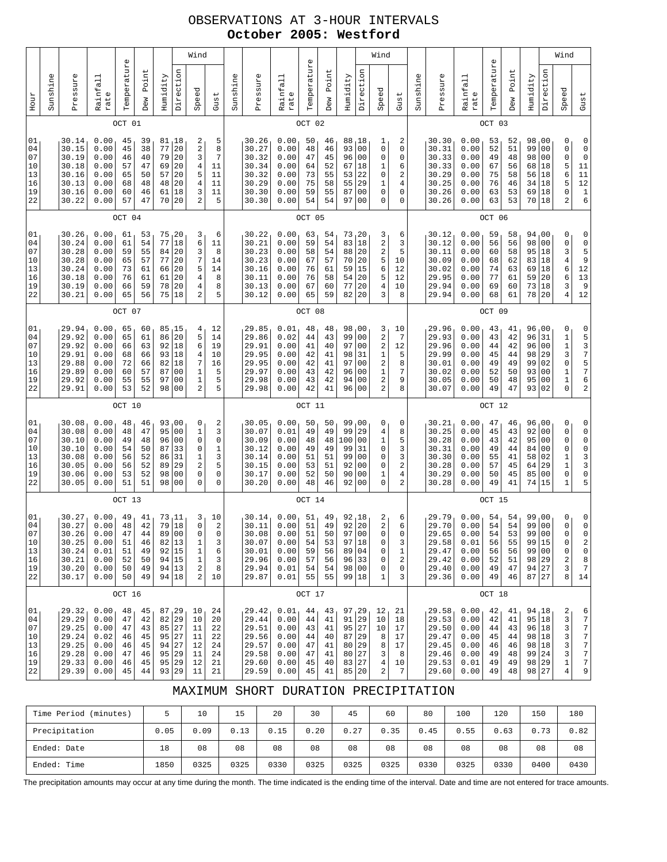## OBSERVATIONS AT 3-HOUR INTERVALS **October 2005: Westford**

|                                              | Wind<br>$\mathbb U$ |                                                                      |                                                              |                                              |                                              |                                              |                                                                                      |                                                                |                                                                         |          |                                                                      |                                                              |                                              |                                              |                                                                |                                                                                                                | Wind                                    |                                            |          |                                                                      |                                                              |                                              |                                              |                                                                      |                                                                             |       | Wind                                                                             |
|----------------------------------------------|---------------------|----------------------------------------------------------------------|--------------------------------------------------------------|----------------------------------------------|----------------------------------------------|----------------------------------------------|--------------------------------------------------------------------------------------|----------------------------------------------------------------|-------------------------------------------------------------------------|----------|----------------------------------------------------------------------|--------------------------------------------------------------|----------------------------------------------|----------------------------------------------|----------------------------------------------------------------|----------------------------------------------------------------------------------------------------------------|-----------------------------------------|--------------------------------------------|----------|----------------------------------------------------------------------|--------------------------------------------------------------|----------------------------------------------|----------------------------------------------|----------------------------------------------------------------------|-----------------------------------------------------------------------------|-------|----------------------------------------------------------------------------------|
| Hour                                         | Sunshine            | Pressure                                                             | Rainfall<br>rate                                             | Temperatur                                   | Point<br>Dew                                 | Humidity                                     | Direction                                                                            | Speed                                                          | Gust                                                                    | Sunshine | Pressure                                                             | Rainfall<br>rate                                             | Temperature                                  | Point<br>Dew                                 | Humidity                                                       | Direction                                                                                                      | Speed                                   | Gust                                       | Sunshine | Pressure                                                             | Rainfall<br>rate                                             | Temperature                                  | Point<br>Dew                                 | Humidity                                                             | Direction                                                                   | Speed |                                                                                  |
|                                              |                     |                                                                      |                                                              | OCT 01                                       |                                              |                                              |                                                                                      |                                                                |                                                                         |          |                                                                      |                                                              | OCT 02                                       |                                              |                                                                |                                                                                                                |                                         |                                            |          |                                                                      |                                                              | OCT 03                                       |                                              |                                                                      |                                                                             |       |                                                                                  |
| 01<br>04<br>07<br>10<br>13<br>16<br>19<br>22 |                     | 30.14<br>30.15<br>30.19<br>30.18<br>30.16<br>30.13<br>30.16<br>30.22 | 0.00<br>0.00<br>0.00<br>0.00<br>0.00<br>0.00<br>0.00<br>0.00 | 45<br>45<br>46<br>57<br>65<br>68<br>60<br>57 | 39<br>38<br>40<br>47<br>50<br>48<br>46<br>47 | 81<br>77<br>79<br>69<br>57<br>48<br>61<br>70 | 18<br>20<br>20<br>20<br>20<br>20<br>18<br>20                                         | 2<br>2<br>3<br>4<br>5<br>$\overline{4}$<br>3<br>2              | 5<br>8<br>7<br>11<br>11<br>11<br>11<br>5                                |          | 30.26<br>30.27<br>30.32<br>30.34<br>30.32<br>30.29<br>30.30<br>30.30 | 0.00<br>0.00<br>0.00<br>0.00<br>0.00<br>0.00<br>0.00<br>0.00 | 50<br>48<br>47<br>64<br>73<br>75<br>59<br>54 | 46<br>46<br>45<br>52<br>55<br>58<br>55<br>54 | 88<br>93<br>96<br>67<br>53<br>55<br>87<br>97                   | 18<br>0 <sub>0</sub><br>0 <sub>0</sub><br>18<br>22<br>29<br>0 <sub>0</sub><br>0 <sub>0</sub>                   | 1<br>0<br>0<br>1<br>0<br>1<br>0<br>0    | 2<br>0<br>0<br>6<br>2<br>4<br>0<br>0       |          | 30.30<br>30.31<br>30.33<br>30.33<br>30.29<br>30.25<br>30.26<br>30.26 | 0.00<br>0.00<br>0.00<br>0.00<br>0.00<br>0.00<br>0.00<br>0.00 | 53<br>52<br>49<br>67<br>75<br>76<br>63<br>63 | 52<br>51<br>48<br>56<br>58<br>46<br>53<br>53 | 98<br>99<br>98<br>68<br>56<br>34<br>69<br>70   18                    | 00 <sub>1</sub><br>0 <sub>0</sub><br>0 <sub>0</sub><br>18<br>18<br>18<br>18 |       | 0<br>0<br>$\mathbf 0$<br>5<br>6<br>5<br>0<br>$\overline{a}$                      |
|                                              |                     |                                                                      |                                                              | OCT 04                                       |                                              |                                              |                                                                                      |                                                                |                                                                         |          |                                                                      |                                                              | OCT 05                                       |                                              |                                                                |                                                                                                                |                                         |                                            |          |                                                                      |                                                              | OCT 06                                       |                                              |                                                                      |                                                                             |       |                                                                                  |
| 01<br>04<br>07<br>10<br>13<br>16<br>19<br>22 |                     | 30.26<br>30.24<br>30.28<br>30.28<br>30.24<br>30.18<br>30.19<br>30.21 | 0.00<br>0.00<br>0.00<br>0.00<br>0.00<br>0.00<br>0.00<br>0.00 | 61<br>61<br>59<br>65<br>73<br>76<br>66<br>65 | 53<br>54<br>55<br>57<br>61<br>61<br>59<br>56 | 75<br>77<br>84<br>77<br>66<br>61<br>78<br>75 | , 20<br>18<br>20<br>20<br>20<br>20<br>20<br>18                                       | 3<br>б<br>3<br>7<br>5<br>$\overline{4}$<br>4<br>$\overline{c}$ | 6<br>11<br>8<br>14<br>14<br>8<br>8<br>5                                 |          | 30.22<br>30.21<br>30.23<br>30.23<br>30.16<br>30.11<br>30.13<br>30.12 | 0.00<br>0.00<br>0.00<br>0.00<br>0.00<br>0.00<br>0.00<br>0.00 | 63<br>59<br>58<br>67<br>76<br>76<br>67<br>65 | 54<br>54<br>54<br>57<br>61<br>58<br>60<br>59 | 73, 20<br>83<br>88<br>70<br>59<br>54<br>77<br>82               | 18<br>20<br>20<br>15<br>20<br>20<br>20                                                                         | 3<br>2<br>2<br>5<br>6<br>5<br>4<br>3    | 6<br>3<br>5<br>10<br>12<br>12<br>10<br>8   |          | 30.12<br>30.12<br>30.11<br>30.09<br>30.02<br>29.95<br>29.94<br>29.94 | 0.00<br>0.00<br>0.00<br>0.00<br>0.00<br>0.00<br>0.00<br>0.00 | 59<br>56<br>60<br>68<br>74<br>77<br>69<br>68 | 58<br>56<br>58<br>62<br>63<br>61<br>60<br>61 | 94,00<br>98<br>95<br>83<br>69<br>59<br>73<br>78                      | 0 <sub>0</sub><br>18<br>18<br>18<br>20<br>18<br>20                          |       | 0<br>$\mathsf{O}\xspace$<br>3<br>$\overline{4}$<br>б<br>6<br>3<br>$\overline{4}$ |
|                                              | OCT 07              |                                                                      |                                                              |                                              |                                              |                                              |                                                                                      |                                                                |                                                                         |          |                                                                      |                                                              | OCT 08                                       |                                              |                                                                |                                                                                                                |                                         |                                            |          |                                                                      |                                                              | OCT 09                                       |                                              |                                                                      |                                                                             |       |                                                                                  |
| 01<br>04<br>07<br>10<br>13<br>16<br>19<br>22 |                     | 29.94<br>29.92<br>29.92<br>29.91<br>29.88<br>29.89<br>29.92<br>29.91 | 0.00<br>0.00<br>0.00<br>0.00<br>0.00<br>0.00<br>0.00<br>0.00 | 65<br>65<br>66<br>68<br>72<br>60<br>55<br>53 | 60<br>61<br>63<br>66<br>66<br>57<br>55<br>52 | 86<br>92<br>93<br>82<br>87<br>97<br>98       | 85, 15<br>20<br>18<br>18<br>18<br>0 <sub>0</sub><br>0 <sub>0</sub><br>0 <sub>0</sub> | 4<br>5<br>6<br>4<br>7<br>1<br>$1\,$<br>2                       | 12<br>14<br>19<br>10<br>16<br>5<br>5<br>5                               |          | 29.85<br>29.86<br>29.91<br>29.95<br>29.95<br>29.97<br>29.98<br>29.98 | 0.01<br>0.02<br>0.00<br>0.00<br>0.00<br>0.00<br>0.00<br>0.00 | 48<br>44<br>41<br>42<br>42<br>43<br>43<br>42 | 48<br>43<br>40<br>41<br>41<br>42<br>42<br>41 | 98,00<br>99<br>97<br>98<br>97<br>96<br>94<br>96                | 0 <sub>0</sub><br>0 <sub>0</sub><br>31<br>0 <sub>0</sub><br>0 <sub>0</sub><br>0 <sub>0</sub><br>0 <sub>0</sub> | 3<br>2<br>2<br>1<br>2<br>1<br>2<br>2    | 10<br>7<br>12<br>5<br>8<br>7<br>9<br>8     |          | 29.96<br>29.93<br>29.96<br>29.99<br>30.01<br>30.02<br>30.05<br>30.07 | 0.00<br>0.00<br>0.00<br>0.00<br>0.00<br>0.00<br>0.00<br>0.00 | 43<br>43<br>44<br>45<br>49<br>52<br>50<br>49 | 41<br>42<br>42<br>44<br>49<br>50<br>48<br>47 | 96,00<br>96<br>96<br>98<br>99<br>93<br>95<br>93 02                   | 31<br>0 <sub>0</sub><br>29<br>02<br>00<br>0 <sub>0</sub>                    |       | 0<br>$\mathbf 1$<br>$\mathbf 1$<br>3<br>0<br>$\mathbf 1$<br>1<br>0               |
|                                              |                     |                                                                      |                                                              | OCT 10                                       |                                              |                                              |                                                                                      |                                                                |                                                                         |          |                                                                      |                                                              | OCT 11                                       |                                              |                                                                |                                                                                                                |                                         |                                            |          |                                                                      |                                                              | OCT 12                                       |                                              |                                                                      |                                                                             |       |                                                                                  |
| 01<br>04<br>07<br>10<br>13<br>16<br>19<br>22 |                     | 30.08<br>30.08<br>30.10<br>30.10<br>30.08<br>30.05<br>30.06<br>30.05 | 0.00<br>0.00<br>0.00<br>0.00<br>0.00<br>0.00<br>0.00<br>0.00 | 48<br>48<br>49<br>54<br>56<br>56<br>53<br>51 | 46<br>47<br>48<br>50<br>52<br>52<br>52<br>51 | 95<br>96<br>87<br>86<br>89<br>98<br>98       | 93,00<br>0 <sub>0</sub><br>0 <sub>0</sub><br>33<br>31<br>29<br>00<br>0 <sub>0</sub>  | 0<br>1<br>0<br>0<br>1<br>2<br>0<br>0                           | 2<br>3<br>$\mathsf{O}\xspace$<br>$\mathbf 1$<br>3<br>5<br>0<br>$\Omega$ |          | 30.05<br>30.07<br>30.09<br>30.12<br>30.14<br>30.15<br>30.17<br>30.20 | 0.00<br>0.01<br>0.00<br>0.00<br>0.00<br>0.00<br>0.00<br>0.00 | 50<br>49<br>48<br>49<br>51<br>53<br>52<br>48 | 50<br>49<br>48<br>49<br>51<br>51<br>50<br>46 | 99<br>99<br>100<br>99<br>99<br>92<br>90<br>92                  | 00 <sub>1</sub><br>29<br>0 <sub>0</sub><br>31<br>0 <sub>0</sub><br>0 <sub>0</sub><br>0 <sub>0</sub><br>00      | 0<br>4<br>1<br>0<br>0<br>0<br>1<br>0    | 0<br>8<br>5<br>3<br>3<br>2<br>4<br>2       |          | 30.21<br>30.25<br>30.28<br>30.31<br>30.30<br>30.28<br>30.29<br>30.28 | 0.00<br>0.00<br>0.00<br>0.00<br>0.00<br>0.00<br>0.00<br>0.00 | 47<br>45<br>43<br>49<br>55<br>57<br>50<br>49 | 46<br>43<br>42<br>44<br>41<br>45<br>45<br>41 | 96,00<br>92<br>95<br>84<br>58<br>64<br>85<br>74 15                   | 0 <sub>0</sub><br>0 <sub>0</sub><br>0 <sub>0</sub><br>02<br>29<br>00        |       | 0<br>0<br>0<br>0<br>1<br>$\mathbf 1$<br>0<br>$\mathbf{1}$                        |
|                                              |                     |                                                                      |                                                              | OCT 13                                       |                                              |                                              |                                                                                      |                                                                |                                                                         |          |                                                                      |                                                              | OCT 14                                       |                                              |                                                                |                                                                                                                |                                         |                                            |          |                                                                      |                                                              | OCT 15                                       |                                              |                                                                      |                                                                             |       |                                                                                  |
| 01<br>04<br>07<br>10<br>13<br>16<br>19<br>22 |                     | 30.27<br>30.27<br>30.26<br>30.25<br>30.24<br>30.21<br>30.20<br>30.17 | 0.00<br>0.00<br>0.00<br>0.00<br>0.01<br>0.00<br>0.00<br>0.00 | 49<br>48<br>47<br>51<br>51<br>52<br>50<br>50 | 41<br>42<br>44<br>46<br>49<br>50<br>49<br>49 | 73<br>79<br>82                               | 11,<br>18<br>89 00<br>13<br>92 15<br>94 15<br>94 13<br>94 18                         | 3<br>0<br>0<br>1<br>$\mathbf 1$<br>1<br>2<br>2                 | 10<br>$\sqrt{2}$<br>0<br>3<br>6<br>3<br>8<br>10                         |          | 30.14<br>30.11<br>30.08<br>30.07<br>30.01<br>29.96<br>29.94<br>29.87 | 0.00<br>0.00<br>0.00<br>0.00<br>0.00<br>0.00<br>0.01<br>0.01 | 51<br>51<br>51<br>54<br>59<br>57<br>54<br>55 | 49<br>49<br>50<br>53<br>56<br>56<br>54<br>55 | 92,18<br>92<br>97 00<br>97 <br>96 33<br>98 00<br>99 18         | 20<br>18<br>89 04                                                                                              | 2<br>2<br>0<br>0<br>0<br>0<br>0<br>1    | 6<br>6<br>0<br>3<br>1<br>2<br>0<br>3       |          | 29.79<br>29.70<br>29.65<br>29.58<br>29.47<br>29.42<br>29.40<br>29.36 | 0.00<br>0.00<br>0.00<br>0.01<br>0.00<br>0.00<br>0.00<br>0.00 | 54<br>54<br>54<br>56<br>56<br>52<br>49<br>49 | 54<br>54<br>53<br>55<br>56<br>51<br>47<br>46 | 99<br>99<br>99 00<br>99 15<br>99 00<br>98 29<br>94 27<br>87 27       | 00<br>00                                                                    |       | 0<br>0<br>0<br>0<br>0<br>2<br>3<br>8                                             |
|                                              |                     |                                                                      |                                                              | OCT 16                                       |                                              |                                              |                                                                                      |                                                                |                                                                         |          |                                                                      |                                                              | OCT 17                                       |                                              |                                                                |                                                                                                                |                                         |                                            |          |                                                                      |                                                              | OCT 18                                       |                                              |                                                                      |                                                                             |       |                                                                                  |
| 01<br>04<br>07<br>10<br>13<br>16<br>19<br>22 |                     | 29.32<br>29.29<br>29.25<br>29.24<br>29.25<br>29.28<br>29.33<br>29.39 | 0.00<br>0.00<br>0.00<br>0.02<br>0.00<br>0.00<br>0.00<br>0.00 | 48<br>47<br>47<br>46<br>46<br>47<br>46<br>45 | 45<br>42<br>43<br>45<br>45<br>46<br>45<br>44 | 82<br>95                                     | 87, 29<br>29<br>85 27<br>95 27<br>94 27<br>29<br>95 29<br>93 29                      | 10<br>10<br>11<br>11<br>12<br>11<br>12<br>11                   | 24<br>20<br>22<br>22<br>24<br>24<br>21<br>21                            |          | 29.42<br>29.44<br>29.51<br>29.56<br>29.57<br>29.58<br>29.60<br>29.59 | 0.01<br>0.00<br>0.00<br>0.00<br>0.00<br>0.00<br>0.00<br>0.00 | 44<br>44<br>43<br>44<br>47<br>47<br>45<br>45 | 43<br>41<br>41<br>40<br>41<br>41<br>40<br>41 | 97, 29<br>91<br>95   27<br>87 29<br>80 29<br>80<br>83<br>85 20 | 29<br>27<br>27                                                                                                 | 12<br>10<br>10<br>8<br>8<br>3<br>4<br>2 | 21<br>18<br>17<br>17<br>17<br>8<br>10<br>7 |          | 29.58<br>29.53<br>29.50<br>29.47<br>29.45<br>29.46<br>29.53<br>29.60 | 0.00<br>0.00<br>0.00<br>0.00<br>0.00<br>0.00<br>0.01<br>0.00 | 42<br>42<br>44<br>45<br>46<br>49<br>49<br>49 | 41<br>41<br>43<br>44<br>46<br>48<br>49<br>48 | 94,18<br>95 18<br>96 18<br>98 18<br>98 18<br>99 24<br>98 29<br>98 27 |                                                                             |       | 2<br>3<br>3<br>3<br>3<br>3<br>1<br>4                                             |

#### MAXIMUM SHORT DURATION PRECIPITATION

| (minutes)<br>Time Period |      | 10   | 15   | 20   | 30   | 45   | 60   | 80   | 100  | 120  | 150  | 180  |
|--------------------------|------|------|------|------|------|------|------|------|------|------|------|------|
| Precipitation            | 0.05 | 0.09 | 0.13 | 0.15 | 0.20 | 0.27 | 0.35 | 0.45 | 0.55 | 0.63 | 0.73 | 0.82 |
| Ended: Date              | 18   | 08   | 08   | 08   | 08   | 08   | 08   | 08   | 08   | 08   | 08   | 08   |
| Ended: Time              | 1850 | 0325 | 0325 | 0330 | 0325 | 0325 | 0325 | 0330 | 0325 | 0330 | 0400 | 0430 |

The precipitation amounts may occur at any time during the month. The time indicated is the ending time of the interval. Date and time are not entered for trace amounts.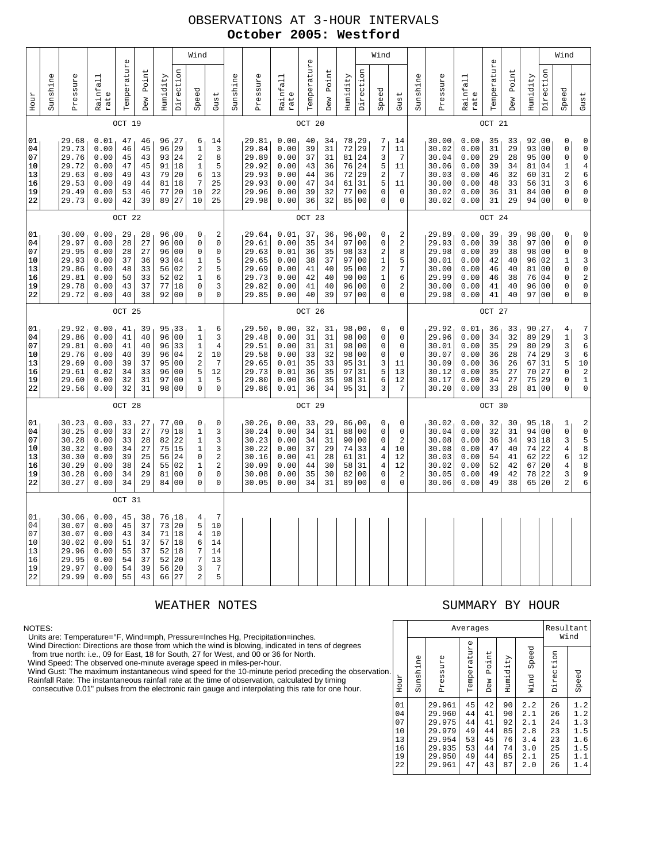## OBSERVATIONS AT 3-HOUR INTERVALS **October 2005: Westford**

|                                              | Wind     |                                                                      |                                                              |                                              |                                              |                                        |                                                                                                              |                                                                        |                                                                            |          |                                                                      |                                                              |                                              |                                              |                                                  |                                                                                                                      | Wind                                                              |                                                                                  |          |                                                                      |                                                              |                                              |                                              |                                                 |                                                                                                                       | Wind                                                                                |                                                                                                                                      |
|----------------------------------------------|----------|----------------------------------------------------------------------|--------------------------------------------------------------|----------------------------------------------|----------------------------------------------|----------------------------------------|--------------------------------------------------------------------------------------------------------------|------------------------------------------------------------------------|----------------------------------------------------------------------------|----------|----------------------------------------------------------------------|--------------------------------------------------------------|----------------------------------------------|----------------------------------------------|--------------------------------------------------|----------------------------------------------------------------------------------------------------------------------|-------------------------------------------------------------------|----------------------------------------------------------------------------------|----------|----------------------------------------------------------------------|--------------------------------------------------------------|----------------------------------------------|----------------------------------------------|-------------------------------------------------|-----------------------------------------------------------------------------------------------------------------------|-------------------------------------------------------------------------------------|--------------------------------------------------------------------------------------------------------------------------------------|
| Hour                                         | Sunshine | Pressure                                                             | Rainfall<br>rate                                             | Temperature                                  | Point<br>Dew                                 | Humidity                               | Direction                                                                                                    | Speed                                                                  | Gust                                                                       | Sunshine | Pressure                                                             | Rainfall<br>rate                                             | Temperature                                  | Point<br>Dew                                 | Humidity                                         | Direction                                                                                                            | Speed                                                             | Gust                                                                             | Sunshine | Pressure                                                             | Rainfall<br>rate                                             | Temperature                                  | Point<br>Dew                                 | Humidity                                        | Direction                                                                                                             | Speed                                                                               | Gust                                                                                                                                 |
|                                              |          |                                                                      |                                                              | OCT 19                                       |                                              |                                        |                                                                                                              |                                                                        |                                                                            |          |                                                                      |                                                              | OCT 20                                       |                                              |                                                  |                                                                                                                      |                                                                   |                                                                                  |          |                                                                      |                                                              | OCT 21                                       |                                              |                                                 |                                                                                                                       |                                                                                     |                                                                                                                                      |
| 01<br>04<br>07<br>10<br>13<br>16<br>19<br>22 |          | 29.68<br>29.73<br>29.76<br>29.72<br>29.63<br>29.53<br>29.49<br>29.73 | 0.01<br>0.00<br>0.00<br>0.00<br>0.00<br>0.00<br>0.00<br>0.00 | 47<br>46<br>45<br>47<br>49<br>49<br>53<br>42 | 46<br>45<br>43<br>45<br>43<br>44<br>46<br>39 | 96<br>93<br>91<br>79<br>81<br>77<br>89 | 96, 27<br>29<br>24<br>18<br>20<br>18<br>20<br>27                                                             | 6<br>$1\,$<br>2<br>$\mathbf 1$<br>6<br>7<br>10<br>10                   | 14<br>3<br>8<br>5<br>13<br>25<br>22<br>25                                  |          | 29.81<br>29.84<br>29.89<br>29.92<br>29.93<br>29.93<br>29.96<br>29.98 | 0.00<br>0.00<br>0.00<br>0.00<br>0.00<br>0.00<br>0.00<br>0.00 | 40<br>39<br>37<br>43<br>44<br>47<br>39<br>36 | 34<br>31<br>31<br>36<br>36<br>34<br>32<br>32 | 78, 29<br>72<br>81<br>76<br>72<br>61<br>77<br>85 | 29<br>24<br>24<br>29<br>31<br>0 <sub>0</sub><br>00                                                                   | 7<br>7<br>3<br>5<br>2<br>5<br>0<br>0                              | 14<br>11<br>7<br>11<br>7<br>11<br>0<br>$\mathsf 0$                               |          | 30.00<br>30.02<br>30.04<br>30.06<br>30.03<br>30.00<br>30.02<br>30.02 | 0.00<br>0.00<br>0.00<br>0.00<br>0.00<br>0.00<br>0.00<br>0.00 | 35<br>31<br>29<br>39<br>46<br>48<br>36<br>31 | 33<br>29<br>28<br>34<br>32<br>33<br>31<br>29 | 92,00<br>93<br>95<br>81<br>60<br>56<br>84<br>94 | 00<br>0 <sub>0</sub><br>04<br>31<br>31<br>00<br>0 <sub>0</sub>                                                        | 0<br>0<br>$\mathbf 0$<br>$1\,$<br>$\overline{\mathbf{c}}$<br>3<br>0<br>$\mathbf 0$  | 0<br>$\bf{0}$<br>$\mathsf 0$<br>$\overline{4}$<br>6<br>6<br>$\mathsf 0$<br>$\mathsf{O}\xspace$                                       |
|                                              |          |                                                                      |                                                              | OCT 22                                       |                                              |                                        |                                                                                                              |                                                                        |                                                                            |          |                                                                      |                                                              | OCT 23                                       |                                              |                                                  |                                                                                                                      |                                                                   |                                                                                  |          |                                                                      |                                                              | OCT 24                                       |                                              |                                                 |                                                                                                                       |                                                                                     |                                                                                                                                      |
| 01<br>04<br>07<br>10<br>13<br>16<br>19<br>22 |          | 30.00<br>29.97<br>29.95<br>29.93<br>29.86<br>29.81<br>29.78<br>29.72 | 0.00<br>0.00<br>0.00<br>0.00<br>0.00<br>0.00<br>0.00<br>0.00 | 29<br>28<br>28<br>37<br>48<br>50<br>43<br>40 | 28<br>27<br>27<br>36<br>33<br>33<br>37<br>38 | 96<br>96<br>93<br>56<br>52<br>77<br>92 | 96,00<br>0 <sub>0</sub><br>0 <sub>0</sub><br>04<br>02<br>02<br>18<br>0 <sub>0</sub>                          | 0<br>0<br>0<br>1<br>$\sqrt{2}$<br>$\mathbf{1}$<br>0<br>$\Omega$        | $\sqrt{2}$<br>$\mathsf 0$<br>0<br>5<br>5<br>6<br>3<br>$\Omega$             |          | 29.64<br>29.61<br>29.63<br>29.65<br>29.69<br>29.73<br>29.82<br>29.85 | 0.01<br>0.00<br>0.01<br>0.00<br>0.00<br>0.00<br>0.00<br>0.00 | 37<br>35<br>36<br>38<br>41<br>42<br>41<br>40 | 36<br>34<br>35<br>37<br>40<br>40<br>40<br>39 | 96<br>97<br>98<br>97<br>95<br>90<br>96<br>97     | 00<br>0 <sub>0</sub><br>33<br>0 <sub>0</sub><br>0 <sub>0</sub><br>0 <sub>0</sub><br>0 <sub>0</sub><br>0 <sub>0</sub> | 0<br>0<br>2<br>1<br>$\overline{\mathbf{c}}$<br>1<br>0<br>$\Omega$ | 2<br>$\overline{\mathbf{c}}$<br>8<br>5<br>7<br>6<br>2<br>0                       |          | 29.89<br>29.93<br>29.98<br>30.01<br>30.00<br>29.99<br>30.00<br>29.98 | 0.00<br>0.00<br>0.00<br>0.00<br>0.00<br>0.00<br>0.00<br>0.00 | 39<br>39<br>39<br>42<br>46<br>46<br>41<br>41 | 39<br>38<br>38<br>40<br>40<br>38<br>40<br>40 | 98<br>97<br>98<br>96<br>81<br>76<br>96<br>97    | 00 <sub>1</sub><br>0 <sub>0</sub><br>0 <sub>0</sub><br>02<br>0 <sub>0</sub><br>04<br>0 <sub>0</sub><br>0 <sub>0</sub> | 0<br>$\mathbf 0$<br>$\mathbf 0$<br>$\mathbf 1$<br>0<br>$\mathbf 0$<br>0<br>$\Omega$ | $\mathsf 0$<br>$\mathsf{O}\xspace$<br>$\pmb{0}$<br>3<br>$\mathsf 0$<br>$\overline{\mathbf{c}}$<br>$\mathsf 0$<br>$\mathsf{O}\xspace$ |
|                                              | OCT 25   |                                                                      |                                                              |                                              |                                              |                                        |                                                                                                              |                                                                        |                                                                            |          |                                                                      |                                                              | OCT 26                                       |                                              |                                                  |                                                                                                                      |                                                                   |                                                                                  |          |                                                                      |                                                              | OCT 27                                       |                                              |                                                 |                                                                                                                       |                                                                                     |                                                                                                                                      |
| 01<br>04<br>07<br>10<br>13<br>16<br>19<br>22 |          | 29.92<br>29.86<br>29.81<br>29.76<br>29.69<br>29.61<br>29.60<br>29.56 | 0.00<br>0.00<br>0.00<br>0.00<br>0.00<br>0.02<br>0.00<br>0.00 | 41<br>41<br>41<br>40<br>39<br>34<br>32<br>32 | 39<br>40<br>40<br>39<br>37<br>33<br>31<br>31 | 96<br>96<br>96<br>95<br>96<br>97<br>98 | 95, 33<br>0 <sub>0</sub><br>33<br>04<br>0 <sub>0</sub><br>0 <sub>0</sub><br>0 <sub>0</sub><br>0 <sub>0</sub> | 1<br>$1\,$<br>$\mathbf{1}$<br>2<br>$\sqrt{2}$<br>5<br>1<br>$\mathbf 0$ | 6<br>3<br>$\overline{4}$<br>10<br>$\overline{7}$<br>12<br>5<br>$\mathbf 0$ |          | 29.50<br>29.48<br>29.51<br>29.58<br>29.65<br>29.73<br>29.80<br>29.86 | 0.00<br>0.00<br>0.00<br>0.00<br>0.01<br>0.01<br>0.00<br>0.01 | 32<br>31<br>31<br>33<br>35<br>36<br>36<br>36 | 31<br>31<br>31<br>32<br>33<br>35<br>35<br>34 | 98<br>98<br>98<br>98<br>95<br>97<br>98<br>95     | 00 <sub>1</sub><br>00<br>00<br>0 <sub>0</sub><br>31<br>31<br>31<br>31                                                | 0<br>0<br>0<br>0<br>3<br>5<br>6<br>3                              | 0<br>0<br>0<br>0<br>11<br>13<br>12<br>7                                          |          | 29.92<br>29.96<br>30.01<br>30.07<br>30.09<br>30.12<br>30.17<br>30.20 | 0.01<br>0.00<br>0.00<br>0.00<br>0.00<br>0.00<br>0.00<br>0.00 | 36<br>34<br>35<br>36<br>36<br>35<br>34<br>33 | 33<br>32<br>29<br>28<br>26<br>27<br>27<br>28 | 90<br>89<br>80<br>74<br>67<br>70<br>75<br>81    | 127<br>29<br>29<br>29<br>31<br>27<br>29<br>00                                                                         | 4<br>$\mathbf 1$<br>3<br>3<br>5<br>$\mathbf 0$<br>$\mathbf 0$<br>$\mathbf 0$        | $\boldsymbol{7}$<br>3<br>$\epsilon$<br>6<br>$\begin{smallmatrix}1&0\\&2\end{smallmatrix}$<br>$\mathbf{1}$<br>$\mathsf 0$             |
|                                              |          |                                                                      |                                                              | OCT 28                                       |                                              |                                        |                                                                                                              |                                                                        |                                                                            |          |                                                                      |                                                              | OCT 29                                       |                                              |                                                  |                                                                                                                      |                                                                   |                                                                                  |          |                                                                      |                                                              | OCT 30                                       |                                              |                                                 |                                                                                                                       |                                                                                     |                                                                                                                                      |
| 01<br>04<br>07<br>10<br>13<br>16<br>19<br>22 |          | 30.23<br>30.25<br>30.28<br>30.32<br>30.30<br>30.29<br>30.28<br>30.27 | 0.00<br>0.00<br>0.00<br>0.00<br>0.00<br>0.00<br>0.00<br>0.00 | 33<br>33<br>33<br>34<br>39<br>38<br>34<br>34 | 27<br>27<br>28<br>27<br>25<br>24<br>29<br>29 | 79<br>82<br>75<br>56<br>55<br>81<br>84 | 77,00<br>18<br>22<br>15<br>24<br>02<br>0 <sub>0</sub><br>0 <sub>0</sub>                                      | 0<br>$\mathbf{1}$<br>$1\,$<br>$1\,$<br>0<br>1<br>0<br>0                | 0<br>3<br>3<br>3<br>$\sqrt{2}$<br>$\sqrt{2}$<br>0<br>$\mathbf 0$           |          | 30.26<br>30.24<br>30.23<br>30.22<br>30.16<br>30.09<br>30.08<br>30.05 | 0.00<br>0.00<br>0.00<br>0.00<br>0.00<br>0.00<br>0.00<br>0.00 | 33<br>34<br>34<br>37<br>41<br>44<br>35<br>34 | 29<br>31<br>31<br>29<br>28<br>30<br>30<br>31 | 86,00<br>88<br>90<br>74<br>61<br>58<br>82<br>89  | 0 <sub>0</sub><br>00<br>33<br>31<br>31<br>0 <sub>0</sub><br>0 <sub>0</sub>                                           | 0<br>0<br>0<br>4<br>4<br>4<br>0<br>0                              | 0<br>$\mathbf 0$<br>$\overline{\mathbf{c}}$<br>10<br>12<br>12<br>$\sqrt{2}$<br>0 |          | 30.02<br>30.04<br>30.08<br>30.08<br>30.03<br>30.02<br>30.05<br>30.06 | 0.00<br>0.00<br>0.00<br>0.00<br>0.00<br>0.00<br>0.00<br>0.00 | 32<br>32<br>36<br>47<br>54<br>52<br>49<br>49 | 30<br>31<br>34<br>40<br>41<br>42<br>42<br>38 | 95<br>94<br>93<br>74<br>62<br>67<br>78<br>65    | 18<br>0 <sub>0</sub><br>18<br>22<br>22<br>20<br>22<br>20                                                              | 1<br>$\mathsf{O}\xspace$<br>3<br>$\,4$<br>6<br>4<br>3<br>$\overline{a}$             | $_0^2$<br>5<br>8<br>$1\,2$<br>8<br>9<br>6                                                                                            |
|                                              |          |                                                                      |                                                              | OCT 31                                       |                                              |                                        |                                                                                                              |                                                                        |                                                                            |          |                                                                      |                                                              |                                              |                                              |                                                  |                                                                                                                      |                                                                   |                                                                                  |          |                                                                      |                                                              |                                              |                                              |                                                 |                                                                                                                       |                                                                                     |                                                                                                                                      |
| 01<br>04<br>07<br>10<br>13<br>16<br>19<br>22 |          | 30.06<br>30.07<br>30.07<br>30.02<br>29.96<br>29.95<br>29.97<br>29.99 | 0.00<br>0.00<br>0.00<br>0.00<br>0.00<br>0.00<br>0.00<br>0.00 | 45<br>45<br>43<br>51<br>55<br>54<br>54<br>55 | 38<br>37<br>34<br>37<br>37<br>37<br>39<br>43 | 73<br>71<br>57<br>52<br>52<br>56<br>66 | 76, 18<br>20<br>18<br>18<br>18<br>20<br>20<br>27                                                             | 4<br>5<br>$\overline{4}$<br>6<br>7<br>7<br>3<br>$\overline{a}$         | $\overline{7}$<br>10<br>10<br>14<br>14<br>13<br>$\sqrt{ }$<br>5            |          |                                                                      |                                                              |                                              |                                              |                                                  |                                                                                                                      |                                                                   |                                                                                  |          |                                                                      |                                                              |                                              |                                              |                                                 |                                                                                                                       |                                                                                     |                                                                                                                                      |

NOTES:

Units are: Temperature=°F, Wind=mph, Pressure=Inches Hg, Precipitation=inches. Wind Direction: Directions are those from which the wind is blowing, indicated in tens of degrees from true north: i.e., 09 for East, 18 for South, 27 for West, and 00 or 36 for North.

Wind Speed: The observed one-minute average speed in miles-per-hour.

Wind Gust: The maximum instantaneous wind speed for the 10-minute period preceding the observation.<br>Rainfall Rate: The instantaneous rainfall rate at the time of observation, calculated by timing<br>consecutive 0.01" pulses f

## WEATHER NOTES SUMMARY BY HOUR

|     |                                              |          |                                                                              | Averages                                     |                                              |                                              |                                                      |                                              | Resultant<br>Wind                                    |
|-----|----------------------------------------------|----------|------------------------------------------------------------------------------|----------------------------------------------|----------------------------------------------|----------------------------------------------|------------------------------------------------------|----------------------------------------------|------------------------------------------------------|
| οn. | Hour                                         | Sunshine | Φ<br>Pressur                                                                 | Temperature                                  | Point<br>Dew                                 | Humidity                                     | Speed<br>Wind                                        | Direction                                    | Speed                                                |
|     | 01<br>04<br>07<br>10<br>13<br>16<br>19<br>22 |          | 29.961<br>29.960<br>29.975<br>29.979<br>29.954<br>29.935<br>29.950<br>29.961 | 45<br>44<br>44<br>49<br>53<br>53<br>49<br>47 | 42<br>41<br>41<br>44<br>45<br>44<br>44<br>43 | 90<br>90<br>92<br>85<br>76<br>74<br>85<br>87 | 2.2<br>2.1<br>2.1<br>2.8<br>3.4<br>3.0<br>2.1<br>2.0 | 26<br>26<br>24<br>23<br>23<br>25<br>25<br>26 | 1.2<br>1.2<br>1.3<br>1.5<br>1.6<br>1.5<br>1.1<br>1.4 |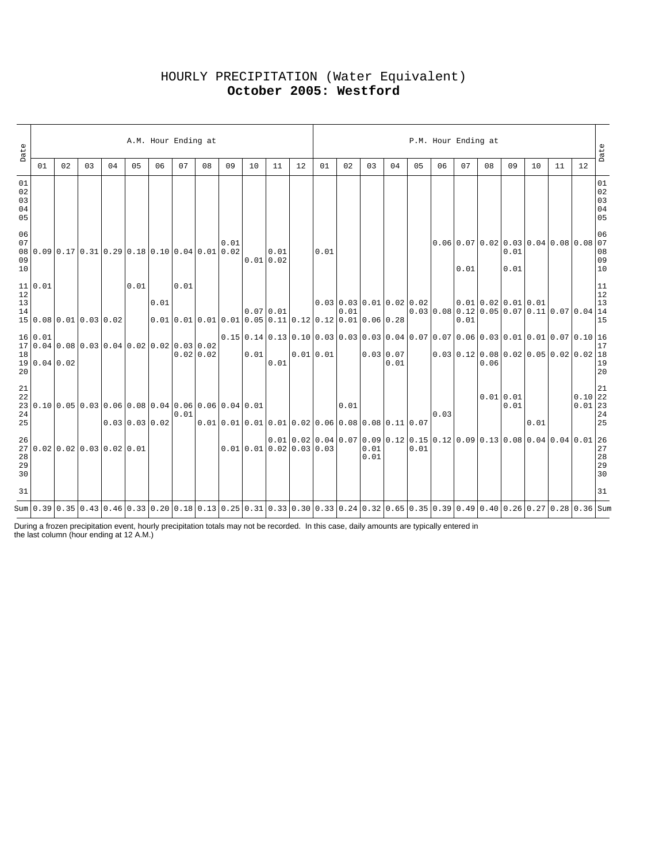# HOURLY PRECIPITATION (Water Equivalent) **October 2005: Westford**

| Date                       | 01                                | 02 | 03 | 04                                                                                                                               | 05               | A.M. Hour Ending at<br>06                                         | 07   | 08        | 09                                             | 10   | 11                       | 12 | 01       | 02   | 03           | 04                         | 05   | P.M. Hour Ending at<br>06 | 07   | 08   | 09                | 10                                                                           | 11 | 12                                                                | Date                                                              |
|----------------------------|-----------------------------------|----|----|----------------------------------------------------------------------------------------------------------------------------------|------------------|-------------------------------------------------------------------|------|-----------|------------------------------------------------|------|--------------------------|----|----------|------|--------------|----------------------------|------|---------------------------|------|------|-------------------|------------------------------------------------------------------------------|----|-------------------------------------------------------------------|-------------------------------------------------------------------|
| 01<br>02<br>03<br>04<br>05 |                                   |    |    |                                                                                                                                  |                  |                                                                   |      |           |                                                |      |                          |    |          |      |              |                            |      |                           |      |      |                   |                                                                              |    |                                                                   | $0\,1$<br>$0\,2$<br>$\begin{array}{c} 03 \\ 04 \end{array}$<br>05 |
| 06<br>07<br>09<br>10       |                                   |    |    | $08 0.09 0.17 0.31 0.29 0.18 0.10 0.04 0.01 0.02$                                                                                |                  |                                                                   |      |           | 0.01                                           |      | 0.01<br>0.01 0.02        |    | 0.01     |      |              |                            |      |                           | 0.01 |      | 0.01<br>0.01      | $0.06$ 0.07 0.02 0.03 0.04 0.08 0.08 07                                      |    |                                                                   | 06<br>08<br>09<br>10                                              |
| 12<br>13<br>14             | 11 0.01<br>15 0.08 0.01 0.03 0.02 |    |    |                                                                                                                                  | 0.01             | 0.01<br>$ 0.01 0.01 0.01 0.01 0.05 0.11 0.12 0.12 0.01 0.06 0.28$ | 0.01 |           |                                                |      | $0.07$ 0.01              |    |          | 0.01 |              | $0.03$ 0.03 0.01 0.02 0.02 |      |                           | 0.01 |      |                   | 0.010.020.010.01<br>$0.03$ 0.08 0.12 0.05 0.07 0.11 0.07 0.04 14             |    |                                                                   | 11<br>$12\,$<br>13<br>15                                          |
| 18<br>20                   | 16 0.01<br>19 0.04 0.02           |    |    | $17 0.04 0.08 0.03 0.04 0.02 0.02 0.03 0.02$                                                                                     |                  |                                                                   |      | 0.02 0.02 |                                                | 0.01 | 0.01                     |    | 0.010.01 |      |              | 0.03 0.07<br>0.01          |      |                           |      | 0.06 |                   | 0.03 0.12 0.08 0.02 0.05 0.02 0.02 18                                        |    |                                                                   | 17<br>19<br>20                                                    |
| 21<br>22<br>24<br>25       |                                   |    |    | $23 0.10 0.05 0.03 0.06 0.08 0.04 0.06 0.06 0.04 0.01$                                                                           | $0.03$ 0.03 0.02 |                                                                   | 0.01 |           | $0.010.010.010.010.010.020.060.080.080.110.07$ |      |                          |    |          | 0.01 |              |                            |      | 0.03                      |      |      | 0.01 0.01<br>0.01 | 0.01                                                                         |    | $0.10$ 22<br>$\begin{bmatrix} 0.01 & 23 \\ 24 & 24 \end{bmatrix}$ | 21<br>25                                                          |
| 26<br>28<br>29<br>30       |                                   |    |    | 27 0.02 0.02 0.03 0.02 0.01                                                                                                      |                  |                                                                   |      |           |                                                |      | 0.01 0.01 0.02 0.03 0.03 |    |          |      | 0.01<br>0.01 |                            | 0.01 |                           |      |      |                   | $(0.01 0.02 0.04 0.07 0.09 0.12 0.15 0.12 0.09 0.13 0.08 0.04 0.04 0.01 26)$ |    |                                                                   | $2\,7$<br>$\frac{28}{28}$<br>30                                   |
| 31                         |                                   |    |    |                                                                                                                                  |                  |                                                                   |      |           |                                                |      |                          |    |          |      |              |                            |      |                           |      |      |                   |                                                                              |    |                                                                   | 31                                                                |
|                            |                                   |    |    | Sum 0.39 0.35 0.43 0.46 0.33 0.20 0.18 0.13 0.25 0.31 0.33 0.30 0.33 0.24 0.32 0.65 0.35 0.39 0.49 0.40 0.26 0.27 0.28 0.39 0.36 |                  |                                                                   |      |           |                                                |      |                          |    |          |      |              |                            |      |                           |      |      |                   |                                                                              |    |                                                                   |                                                                   |

During a frozen precipitation event, hourly precipitation totals may not be recorded. In this case, daily amounts are typically entered in the last column (hour ending at 12 A.M.)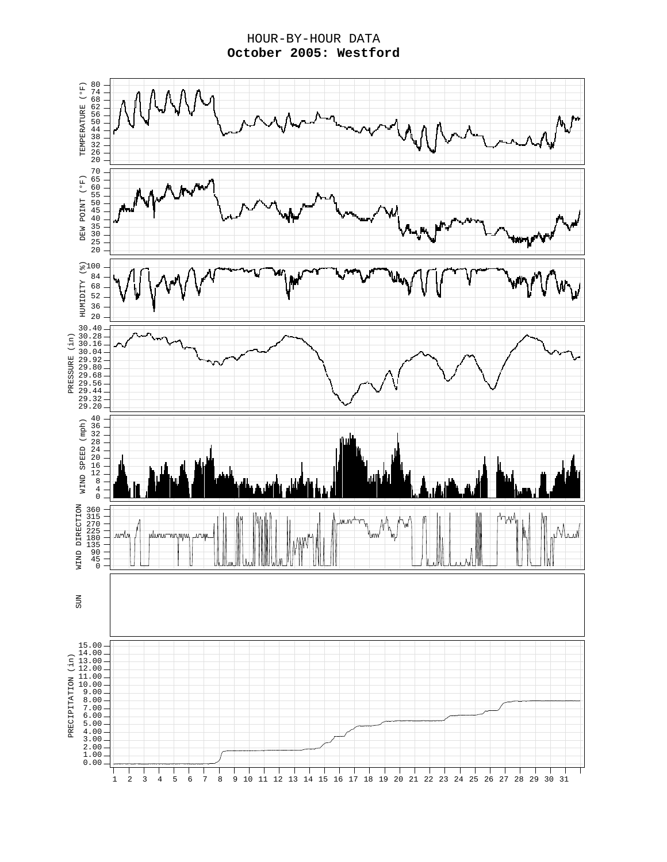HOUR-BY-HOUR DATA **October 2005: Westford**